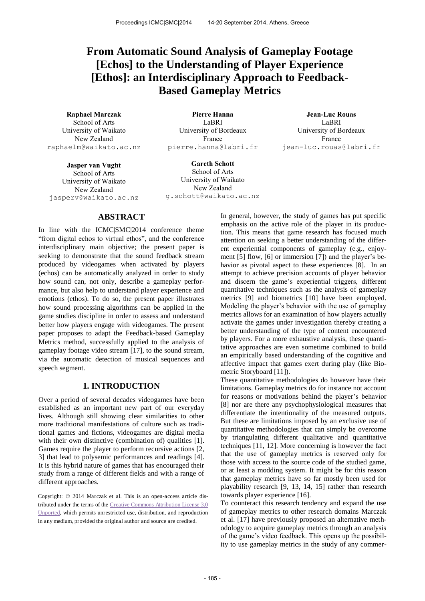# **From Automatic Sound Analysis of Gameplay Footage [Echos] to the Understanding of Player Experience [Ethos]: an Interdisciplinary Approach to Feedback-Based Gameplay Metrics**

**Raphael Marczak Pierre Hanna Jean-Luc Rouas**  School of Arts University of Waikato New Zealand [raphaelm@w](mailto:raphaelm@)aikato.ac.nz

LaBRI University of Bordeaux France [pierre.hanna@l](mailto:pierre.hanna@)abri.fr

LaBRI University of Bordeaux France [jean-luc.rouas@l](mailto:jean-luc.rouas@)abri.fr

**Jasper van Vught**  School of Arts University of Waikato New Zealand [jasperv@w](mailto:jasperv@)aikato.ac.nz

**Gareth Schott**  School of Arts University of Waikato New Zealand g.schot[t@w](mailto:raphaelm@)aikato.ac.nz

# **ABSTRACT**

In line with the ICMC|SMC|2014 conference theme "from digital echos to virtual ethos", and the conference interdisciplinary main objective; the present paper is seeking to demonstrate that the sound feedback stream produced by videogames when activated by players (echos) can be automatically analyzed in order to study how sound can, not only, describe a gameplay performance, but also help to understand player experience and emotions (ethos). To do so, the present paper illustrates how sound processing algorithms can be applied in the game studies discipline in order to assess and understand better how players engage with videogames. The present paper proposes to adapt the Feedback-based Gameplay Metrics method, successfully applied to the analysis of gameplay footage video stream [17], to the sound stream, via the automatic detection of musical sequences and speech segment.

# **1. INTRODUCTION**

Over a period of several decades videogames have been established as an important new part of our everyday lives. Although still showing clear similarities to other more traditional manifestations of culture such as traditional games and fictions, videogames are digital media with their own distinctive (combination of) qualities [1]. Games require the player to perform recursive actions [2, 3] that lead to polysemic performances and readings [4]. It is this hybrid nature of games that has encouraged their study from a range of different fields and with a range of different approaches.

Copyright: © 2014 Marczak et al. This is an open-access article distributed under the terms of the [Creative Commons Attribution License 3.0](http://creativecommons.org/licenses/by/3.0/)  [Unported,](http://creativecommons.org/licenses/by/3.0/) which permits unrestricted use, distribution, and reproduction in any medium, provided the original author and source are credited.

In general, however, the study of games has put specific emphasis on the active role of the player in its production. This means that game research has focused much attention on seeking a better understanding of the different experiential components of gameplay (e.g., enjoyment [5] flow, [6] or immersion [7]) and the player's behavior as pivotal aspect to these experiences [8]. In an attempt to achieve precision accounts of player behavior and discern the game's experiential triggers, different quantitative techniques such as the analysis of gameplay metrics [9] and biometrics [10] have been employed. Modeling the player's behavior with the use of gameplay metrics allows for an examination of how players actually activate the games under investigation thereby creating a better understanding of the type of content encountered by players. For a more exhaustive analysis, these quantitative approaches are even sometime combined to build an empirically based understanding of the cognitive and affective impact that games exert during play (like Biometric Storyboard [11]).

These quantitative methodologies do however have their limitations. Gameplay metrics do for instance not account for reasons or motivations behind the player's behavior [8] nor are there any psychophysiological measures that differentiate the intentionality of the measured outputs. But these are limitations imposed by an exclusive use of quantitative methodologies that can simply be overcome by triangulating different qualitative and quantitative techniques [11, 12]. More concerning is however the fact that the use of gameplay metrics is reserved only for those with access to the source code of the studied game, or at least a modding system. It might be for this reason that gameplay metrics have so far mostly been used for playability research [9, 13, 14, 15] rather than research towards player experience [16].

To counteract this research tendency and expand the use of gameplay metrics to other research domains Marczak et al. [17] have previously proposed an alternative methodology to acquire gameplay metrics through an analysis of the game's video feedback. This opens up the possibility to use gameplay metrics in the study of any commer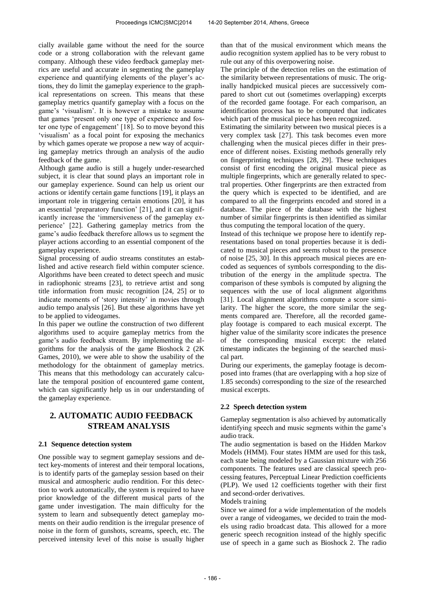cially available game without the need for the source code or a strong collaboration with the relevant game company. Although these video feedback gameplay metrics are useful and accurate in segmenting the gameplay experience and quantifying elements of the player's actions, they do limit the gameplay experience to the graphical representations on screen. This means that these gameplay metrics quantify gameplay with a focus on the game's 'visualism'. It is however a mistake to assume that games 'present only one type of experience and foster one type of engagement' [18]. So to move beyond this 'visualism' as a focal point for exposing the mechanics by which games operate we propose a new way of acquiring gameplay metrics through an analysis of the audio feedback of the game.

Although game audio is still a hugely under-researched subject, it is clear that sound plays an important role in our gameplay experience. Sound can help us orient our actions or identify certain game functions [19], it plays an important role in triggering certain emotions [20], it has an essential 'preparatory function' [21], and it can significantly increase the 'immersiveness of the gameplay experience' [22]. Gathering gameplay metrics from the game's audio feedback therefore allows us to segment the player actions according to an essential component of the gameplay experience.

Signal processing of audio streams constitutes an established and active research field within computer science. Algorithms have been created to detect speech and music in radiophonic streams [23], to retrieve artist and song title information from music recognition [24, 25] or to indicate moments of 'story intensity' in movies through audio tempo analysis [26]. But these algorithms have yet to be applied to videogames.

In this paper we outline the construction of two different algorithms used to acquire gameplay metrics from the game's audio feedback stream. By implementing the algorithms for the analysis of the game Bioshock 2 (2K Games, 2010), we were able to show the usability of the methodology for the obtainment of gameplay metrics. This means that this methodology can accurately calculate the temporal position of encountered game content, which can significantly help us in our understanding of the gameplay experience.

# **2. AUTOMATIC AUDIO FEEDBACK STREAM ANALYSIS**

#### **2.1 Sequence detection system**

One possible way to segment gameplay sessions and detect key-moments of interest and their temporal locations, is to identify parts of the gameplay session based on their musical and atmospheric audio rendition. For this detection to work automatically, the system is required to have prior knowledge of the different musical parts of the game under investigation. The main difficulty for the system to learn and subsequently detect gameplay moments on their audio rendition is the irregular presence of noise in the form of gunshots, screams, speech, etc. The perceived intensity level of this noise is usually higher

than that of the musical environment which means the audio recognition system applied has to be very robust to rule out any of this overpowering noise.

The principle of the detection relies on the estimation of the similarity between representations of music. The originally handpicked musical pieces are successively compared to short cut out (sometimes overlapping) excerpts of the recorded game footage. For each comparison, an identification process has to be computed that indicates which part of the musical piece has been recognized.

Estimating the similarity between two musical pieces is a very complex task [27]. This task becomes even more challenging when the musical pieces differ in their presence of different noises. Existing methods generally rely on fingerprinting techniques [28, 29]. These techniques consist of first encoding the original musical piece as multiple fingerprints, which are generally related to spectral properties. Other fingerprints are then extracted from the query which is expected to be identified, and are compared to all the fingerprints encoded and stored in a database. The piece of the database with the highest number of similar fingerprints is then identified as similar thus computing the temporal location of the query.

Instead of this technique we propose here to identify representations based on tonal properties because it is dedicated to musical pieces and seems robust to the presence of noise [25, 30]. In this approach musical pieces are encoded as sequences of symbols corresponding to the distribution of the energy in the amplitude spectra. The comparison of these symbols is computed by aligning the sequences with the use of local alignment algorithms [31]. Local alignment algorithms compute a score similarity. The higher the score, the more similar the segments compared are. Therefore, all the recorded gameplay footage is compared to each musical excerpt. The higher value of the similarity score indicates the presence of the corresponding musical excerpt: the related timestamp indicates the beginning of the searched musical part.

During our experiments, the gameplay footage is decomposed into frames (that are overlapping with a hop size of 1.85 seconds) corresponding to the size of the researched musical excerpts.

## **2.2 Speech detection system**

Gameplay segmentation is also achieved by automatically identifying speech and music segments within the game's audio track.

The audio segmentation is based on the Hidden Markov Models (HMM). Four states HMM are used for this task, each state being modeled by a Gaussian mixture with 256 components. The features used are classical speech processing features, Perceptual Linear Prediction coefficients (PLP). We used 12 coefficients together with their first and second-order derivatives.

#### Models training

Since we aimed for a wide implementation of the models over a range of videogames, we decided to train the models using radio broadcast data. This allowed for a more generic speech recognition instead of the highly specific use of speech in a game such as Bioshock 2. The radio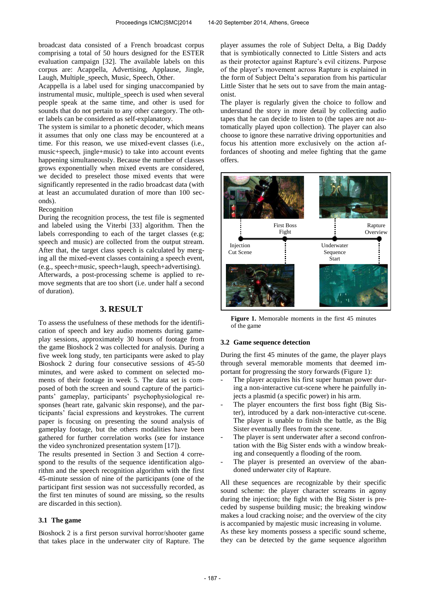broadcast data consisted of a French broadcast corpus comprising a total of 50 hours designed for the ESTER evaluation campaign [32]. The available labels on this corpus are: Acappella, Advertising, Applause, Jingle, Laugh, Multiple\_speech, Music, Speech, Other.

Acappella is a label used for singing unaccompanied by instrumental music, multiple speech is used when several people speak at the same time, and other is used for sounds that do not pertain to any other category. The other labels can be considered as self-explanatory.

The system is similar to a phonetic decoder, which means it assumes that only one class may be encountered at a time. For this reason, we use mixed-event classes (i.e., music+speech, jingle+music) to take into account events happening simultaneously. Because the number of classes grows exponentially when mixed events are considered, we decided to preselect those mixed events that were significantly represented in the radio broadcast data (with at least an accumulated duration of more than 100 seconds).

#### Recognition

During the recognition process, the test file is segmented and labeled using the Viterbi [33] algorithm. Then the labels corresponding to each of the target classes (e.g; speech and music) are collected from the output stream. After that, the target class speech is calculated by merging all the mixed-event classes containing a speech event, (e.g., speech+music, speech+laugh, speech+advertising). Afterwards, a post-processing scheme is applied to remove segments that are too short (i.e. under half a second of duration).

# **3. RESULT**

To assess the usefulness of these methods for the identification of speech and key audio moments during gameplay sessions, approximately 30 hours of footage from the game Bioshock 2 was collected for analysis. During a five week long study, ten participants were asked to play Bioshock 2 during four consecutive sessions of 45-50 minutes, and were asked to comment on selected moments of their footage in week 5. The data set is composed of both the screen and sound capture of the participants' gameplay, participants' psychophysiological responses (heart rate, galvanic skin response), and the participants' facial expressions and keystrokes. The current paper is focusing on presenting the sound analysis of gameplay footage, but the others modalities have been gathered for further correlation works (see for instance the video synchronized presentation system [17]).

The results presented in Section 3 and Section 4 correspond to the results of the sequence identification algorithm and the speech recognition algorithm with the first 45-minute session of nine of the participants (one of the participant first session was not successfully recorded, as the first ten minutes of sound are missing, so the results are discarded in this section).

#### **3.1 The game**

Bioshock 2 is a first person survival horror/shooter game that takes place in the underwater city of Rapture. The player assumes the role of Subject Delta, a Big Daddy that is symbiotically connected to Little Sisters and acts as their protector against Rapture's evil citizens. Purpose of the player's movement across Rapture is explained in the form of Subject Delta's separation from his particular Little Sister that he sets out to save from the main antagonist.

The player is regularly given the choice to follow and understand the story in more detail by collecting audio tapes that he can decide to listen to (the tapes are not automatically played upon collection). The player can also choose to ignore these narrative driving opportunities and focus his attention more exclusively on the action affordances of shooting and melee fighting that the game offers.



**Figure 1.** Memorable moments in the first 45 minutes of the game

#### **3.2 Game sequence detection**

During the first 45 minutes of the game, the player plays through several memorable moments that deemed important for progressing the story forwards (Figure 1):

- The player acquires his first super human power during a non-interactive cut-scene where he painfully injects a plasmid (a specific power) in his arm.
- The player encounters the first boss fight (Big Sister), introduced by a dark non-interactive cut-scene. The player is unable to finish the battle, as the Big Sister eventually flees from the scene.
- The player is sent underwater after a second confrontation with the Big Sister ends with a window breaking and consequently a flooding of the room.
- The player is presented an overview of the abandoned underwater city of Rapture.

All these sequences are recognizable by their specific sound scheme: the player character screams in agony during the injection; the fight with the Big Sister is preceded by suspense building music; the breaking window makes a loud cracking noise; and the overview of the city is accompanied by majestic music increasing in volume.

As these key moments possess a specific sound scheme, they can be detected by the game sequence algorithm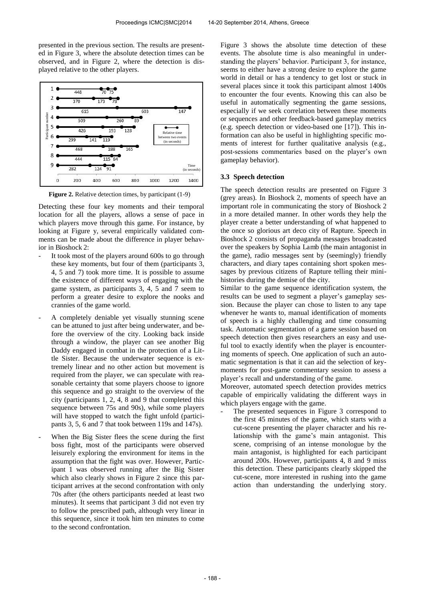presented in the previous section. The results are presented in Figure 3, where the absolute detection times can be observed, and in Figure 2, where the detection is displayed relative to the other players.



**Figure 2.** Relative detection times, by participant  $(1-9)$ 

Detecting these four key moments and their temporal location for all the players, allows a sense of pace in which players move through this game. For instance, by looking at Figure y, several empirically validated comments can be made about the difference in player behavior in Bioshock 2:

- It took most of the players around 600s to go through these key moments, but four of them (participants 3, 4, 5 and 7) took more time. It is possible to assume the existence of different ways of engaging with the game system, as participants 3, 4, 5 and 7 seem to perform a greater desire to explore the nooks and crannies of the game world.
- A completely deniable yet visually stunning scene can be attuned to just after being underwater, and before the overview of the city. Looking back inside through a window, the player can see another Big Daddy engaged in combat in the protection of a Little Sister. Because the underwater sequence is extremely linear and no other action but movement is required from the player, we can speculate with reasonable certainty that some players choose to ignore this sequence and go straight to the overview of the city (participants 1, 2, 4, 8 and 9 that completed this sequence between 75s and 90s), while some players will have stopped to watch the fight unfold (participants 3, 5, 6 and 7 that took between 119s and 147s).
- When the Big Sister flees the scene during the first boss fight, most of the participants were observed leisurely exploring the environment for items in the assumption that the fight was over. However, Participant 1 was observed running after the Big Sister which also clearly shows in Figure 2 since this participant arrives at the second confrontation with only 70s after (the others participants needed at least two minutes). It seems that participant 3 did not even try to follow the prescribed path, although very linear in this sequence, since it took him ten minutes to come to the second confrontation.

Figure 3 shows the absolute time detection of these events. The absolute time is also meaningful in understanding the players' behavior. Participant 3, for instance, seems to either have a strong desire to explore the game world in detail or has a tendency to get lost or stuck in several places since it took this participant almost 1400s to encounter the four events. Knowing this can also be useful in automatically segmenting the game sessions, especially if we seek correlation between these moments or sequences and other feedback-based gameplay metrics (e.g. speech detection or video-based one [17]). This information can also be useful in highlighting specific moments of interest for further qualitative analysis (e.g., post-sessions commentaries based on the player's own gameplay behavior).

#### **3.3 Speech detection**

The speech detection results are presented on Figure 3 (grey areas). In Bioshock 2, moments of speech have an important role in communicating the story of Bioshock 2 in a more detailed manner. In other words they help the player create a better understanding of what happened to the once so glorious art deco city of Rapture. Speech in Bioshock 2 consists of propaganda messages broadcasted over the speakers by Sophia Lamb (the main antagonist in the game), radio messages sent by (seemingly) friendly characters, and diary tapes containing short spoken messages by previous citizens of Rapture telling their minihistories during the demise of the city.

Similar to the game sequence identification system, the results can be used to segment a player's gameplay session. Because the player can chose to listen to any tape whenever he wants to, manual identification of moments of speech is a highly challenging and time consuming task. Automatic segmentation of a game session based on speech detection then gives researchers an easy and useful tool to exactly identify when the player is encountering moments of speech. One application of such an automatic segmentation is that it can aid the selection of keymoments for post-game commentary session to assess a player's recall and understanding of the game.

Moreover, automated speech detection provides metrics capable of empirically validating the different ways in which players engage with the game.

The presented sequences in Figure 3 correspond to the first 45 minutes of the game, which starts with a cut-scene presenting the player character and his relationship with the game's main antagonist. This scene, comprising of an intense monologue by the main antagonist, is highlighted for each participant around 200s. However, participants 4, 8 and 9 miss this detection. These participants clearly skipped the cut-scene, more interested in rushing into the game action than understanding the underlying story.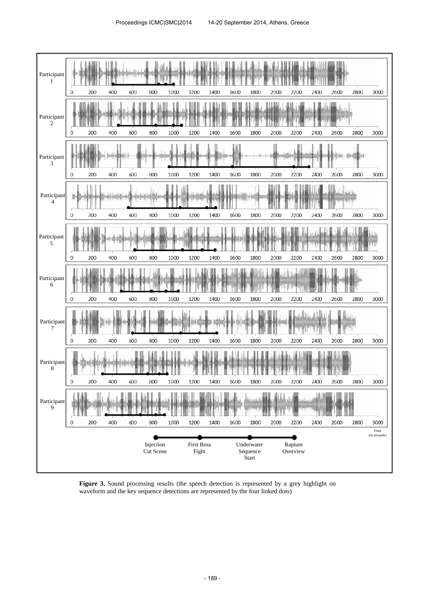

**Figure 3.** Sound processing results (the speech detection is represented by a grey highlight on waveform and the key sequence detections are represented by the four linked dots)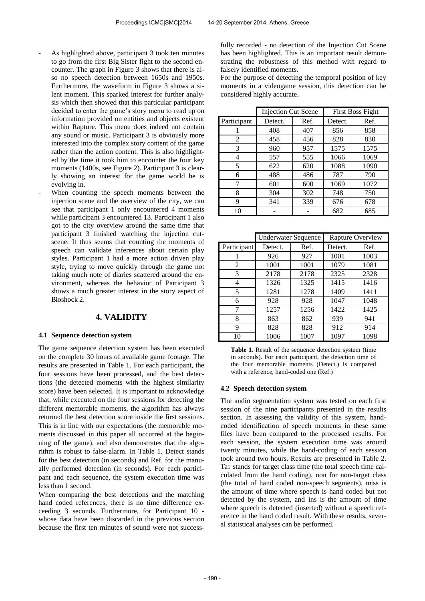- As highlighted above, participant 3 took ten minutes to go from the first Big Sister fight to the second encounter. The graph in Figure 3 shows that there is also no speech detection between 1650s and 1950s. Furthermore, the waveform in Figure 3 shows a silent moment. This sparked interest for further analysis which then showed that this particular participant decided to enter the game's story menu to read up on information provided on entities and objects existent within Rapture. This menu does indeed not contain any sound or music. Participant 3 is obviously more interested into the complex story content of the game rather than the action content. This is also highlighted by the time it took him to encounter the four key moments (1400s, see Figure 2). Participant 3 is clearly showing an interest for the game world he is evolving in.
- When counting the speech moments between the injection scene and the overview of the city, we can see that participant 1 only encountered 4 moments while participant 3 encountered 13. Participant 1 also got to the city overview around the same time that participant 3 finished watching the injection cutscene. It thus seems that counting the moments of speech can validate inferences about certain play styles. Participant 1 had a more action driven play style, trying to move quickly through the game not taking much note of diaries scattered around the environment, whereas the behavior of Participant 3 shows a much greater interest in the story aspect of Bioshock 2.

## **4. VALIDITY**

#### **4.1 Sequence detection system**

The game sequence detection system has been executed on the complete 30 hours of available game footage. The results are presented in Table 1. For each participant, the four sessions have been processed, and the best detections (the detected moments with the highest similarity score) have been selected. It is important to acknowledge that, while executed on the four sessions for detecting the different memorable moments, the algorithm has always returned the best detection score inside the first sessions. This is in line with our expectations (the memorable moments discussed in this paper all occurred at the beginning of the game), and also demonstrates that the algorithm is robust to false-alarm. In Table 1, Detect stands for the best detection (in seconds) and Ref. for the manually performed detection (in seconds). For each participant and each sequence, the system execution time was less than 1 second.

When comparing the best detections and the matching hand coded references, there is no time difference exceeding 3 seconds. Furthermore, for Participant 10 whose data have been discarded in the previous section because the first ten minutes of sound were not success-

fully recorded - no detection of the Injection Cut Scene has been highlighted. This is an important result demonstrating the robustness of this method with regard to falsely identified moments.

For the purpose of detecting the temporal position of key moments in a videogame session, this detection can be considered highly accurate.

|             | <b>Injection Cut Scene</b> |      | <b>First Boss Fight</b> |      |  |
|-------------|----------------------------|------|-------------------------|------|--|
| Participant | Detect.                    | Ref. | Detect.                 | Ref. |  |
|             | 408                        | 407  | 856                     | 858  |  |
| 2           | 458                        | 456  | 828                     | 830  |  |
| 3           | 960                        | 957  | 1575                    | 1575 |  |
| 4           | 557                        | 555  | 1066                    | 1069 |  |
| 5           | 622                        | 620  | 1088                    | 1090 |  |
| 6           | 488                        | 486  | 787                     | 790  |  |
| 7           | 601                        | 600  | 1069                    | 1072 |  |
| 8           | 304                        | 302  | 748                     | 750  |  |
| 9           | 341                        | 339  | 676                     | 678  |  |
| 10          |                            |      | 682                     | 685  |  |

|             | <b>Underwater Sequence</b> |      | Rapture Overview |      |  |
|-------------|----------------------------|------|------------------|------|--|
| Participant | Detect.                    | Ref. | Detect.          | Ref. |  |
|             | 926                        | 927  | 1001             | 1003 |  |
| 2           | 1001                       | 1001 | 1079             | 1081 |  |
| 3           | 2178                       | 2178 | 2325             | 2328 |  |
| 4           | 1326                       | 1325 | 1415             | 1416 |  |
| 5           | 1281                       | 1278 | 1409             | 1411 |  |
| 6           | 928                        | 928  | 1047             | 1048 |  |
| 7           | 1257                       | 1256 | 1422             | 1425 |  |
| 8           | 863                        | 862  | 939              | 941  |  |
| 9           | 828                        | 828  | 912              | 914  |  |
| 10          | 1006                       | 1007 | 1097             | 1098 |  |

Table 1. Result of the sequence detection system (time in seconds). For each participant, the detection time of the four memorable moments (Detect.) is compared with a reference, hand-coded one (Ref.)

#### **4.2 Speech detection system**

The audio segmentation system was tested on each first session of the nine participants presented in the results section. In assessing the validity of this system, handcoded identification of speech moments in these same files have been compared to the processed results. For each session, the system execution time was around twenty minutes, while the hand-coding of each session took around two hours. Results are presented in Table 2. Tar stands for target class time (the total speech time calculated from the hand coding), non for non-target class (the total of hand coded non-speech segments), miss is the amount of time where speech is hand coded but not detected by the system, and ins is the amount of time where speech is detected (inserted) without a speech reference in the hand coded result. With these results, several statistical analyses can be performed.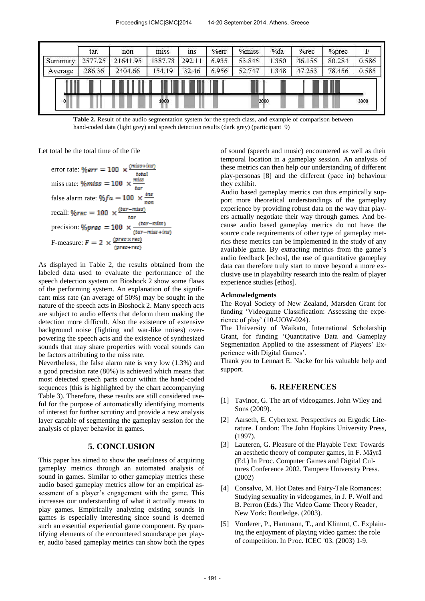|          | tar.    | non      | $-$<br>miss | ins    | %err  | %miss  | %fa   | %rec   | %prec  | F     |
|----------|---------|----------|-------------|--------|-------|--------|-------|--------|--------|-------|
| Summary  | 2577.25 | 21641.95 | 1387.73     | 292.11 | 6.935 | 53.845 | 1.350 | 46.155 | 80.284 | 0.586 |
| Average  | 286.36  | 2404.66  | 154.19      | 32.46  | 6.956 | 52.747 | 1.348 | 47.253 | 78.456 | 0.585 |
|          |         |          |             |        |       |        |       |        |        |       |
| $\bf{0}$ | 1000    |          |             | 2000   |       |        |       | 3000   |        |       |

**Table 2.** Result of the audio segmentation system for the speech class, and example of comparison between hand-coded data (light grey) and speech detection results (dark grey) (participant 9)

Let total be the total time of the file

error rate:  $\%err = 100 \times \frac{(miss+ins)}{total}$ miss rate:  $\frac{m}{s} = 100 \times \frac{m}{t}$ false alarm rate: recall: precision: F-measure:  $F = 2 \times \frac{(prec \times rec)}{(prec + rec)}$ 

As displayed in Table 2, the results obtained from the labeled data used to evaluate the performance of the speech detection system on Bioshock 2 show some flaws of the performing system. An explanation of the significant miss rate (an average of 50%) may be sought in the nature of the speech acts in Bioshock 2. Many speech acts are subject to audio effects that deform them making the detection more difficult. Also the existence of extensive background noise (fighting and war-like noises) overpowering the speech acts and the existence of synthesized sounds that may share properties with vocal sounds can be factors attributing to the miss rate.

Nevertheless, the false alarm rate is very low (1.3%) and a good precision rate (80%) is achieved which means that most detected speech parts occur within the hand-coded sequences (this is highlighted by the chart accompanying Table 3). Therefore, these results are still considered useful for the purpose of automatically identifying moments of interest for further scrutiny and provide a new analysis layer capable of segmenting the gameplay session for the analysis of player behavior in games.

#### **5. CONCLUSION**

This paper has aimed to show the usefulness of acquiring gameplay metrics through an automated analysis of sound in games. Similar to other gameplay metrics these audio based gameplay metrics allow for an empirical assessment of a player's engagement with the game. This increases our understanding of what it actually means to play games. Empirically analyzing existing sounds in games is especially interesting since sound is deemed such an essential experiential game component. By quantifying elements of the encountered soundscape per player, audio based gameplay metrics can show both the types

of sound (speech and music) encountered as well as their temporal location in a gameplay session. An analysis of these metrics can then help our understanding of different play-personas [8] and the different (pace in) behaviour they exhibit.

Audio based gameplay metrics can thus empirically support more theoretical understandings of the gameplay experience by providing robust data on the way that players actually negotiate their way through games. And because audio based gameplay metrics do not have the source code requirements of other type of gameplay metrics these metrics can be implemented in the study of any available game. By extracting metrics from the game's audio feedback [echos], the use of quantitative gameplay data can therefore truly start to move beyond a more exclusive use in playability research into the realm of player experience studies [ethos].

#### **Acknowledgments**

The Royal Society of New Zealand, Marsden Grant for funding 'Videogame Classification: Assessing the experience of play' (10-UOW-024).

The University of Waikato, International Scholarship Grant, for funding 'Quantitative Data and Gameplay Segmentation Applied to the assessment of Players' Experience with Digital Games'.

Thank you to Lennart E. Nacke for his valuable help and support.

# **6. REFERENCES**

- [1] Tavinor, G. The art of videogames. John Wiley and Sons (2009).
- [2] Aarseth, E. Cybertext. Perspectives on Ergodic Literature. London: The John Hopkins University Press, (1997).
- [3] Lauteren, G. Pleasure of the Playable Text: Towards an aesthetic theory of computer games, in F. Mäyrä (Ed.) In Proc. Computer Games and Digital Cultures Conference 2002. Tampere University Press. (2002)
- [4] Consalvo, M. Hot Dates and Fairy-Tale Romances: Studying sexuality in videogames, in J. P. Wolf and B. Perron (Eds.) The Video Game Theory Reader, New York: Routledge. (2003).
- [5] Vorderer, P., Hartmann, T., and Klimmt, C. Explaining the enjoyment of playing video games: the role of competition. In Proc. ICEC '03. (2003) 1-9.